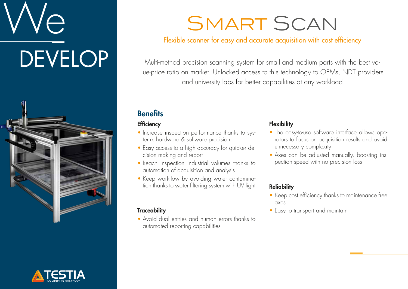# e **DEVELOP**





## SMART SCAN

#### Flexible scanner for easy and accurate acquisition with cost efficiency

Multi-method precision scanning system for small and medium parts with the best value-price ratio on market. Unlocked access to this technology to OEMs, NDT providers and university labs for better capabilities at any workload

#### **Benefits**

#### **Efficiency**

- Increase inspection performance thanks to system's hardware & software precision
- Easy access to a high accuracy for quicker decision making and report
- Reach inspection industrial volumes thanks to automation of acquisition and analysis
- Keep workflow by avoiding water contamination thanks to water filtering system with UV light

#### **Traceability**

• Avoid dual entries and human errors thanks to automated reporting capabilities

#### **Flexibility**

- The easy-to-use software interface allows operators to focus on acquisition results and avoid unnecessary complexity
- Axes can be adjusted manually, boosting inspection speed with no precision loss

#### **Reliability**

- Keep cost efficiency thanks to maintenance free axes
- Easy to transport and maintain